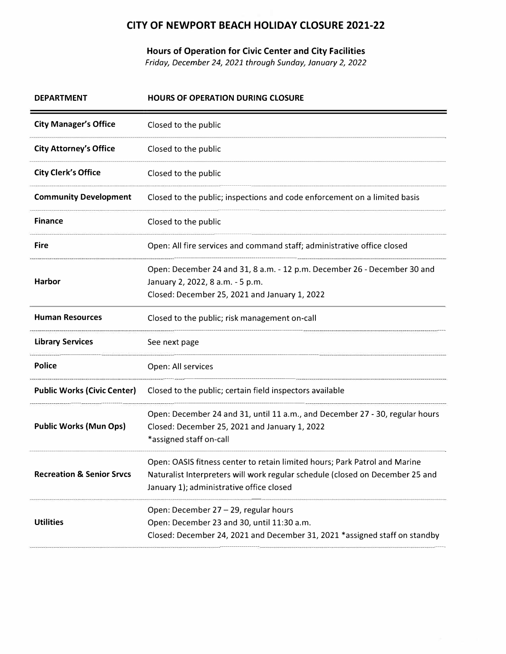## **CITY OF NEWPORT BEACH HOLIDAY CLOSURE 2021-22**

**Hours of Operation for Civic Center and City Facilities** 

*Friday, December 24, 2021 through Sunday, January 2, 2022* 

| <b>DEPARTMENT</b>                    | <b>HOURS OF OPERATION DURING CLOSURE</b>                                                                                                                                                                |  |  |
|--------------------------------------|---------------------------------------------------------------------------------------------------------------------------------------------------------------------------------------------------------|--|--|
| <b>City Manager's Office</b>         | Closed to the public                                                                                                                                                                                    |  |  |
| <b>City Attorney's Office</b>        | Closed to the public                                                                                                                                                                                    |  |  |
| <b>City Clerk's Office</b>           | Closed to the public                                                                                                                                                                                    |  |  |
| <b>Community Development</b>         | Closed to the public; inspections and code enforcement on a limited basis                                                                                                                               |  |  |
| <b>Finance</b>                       | Closed to the public                                                                                                                                                                                    |  |  |
| <b>Fire</b>                          | Open: All fire services and command staff; administrative office closed                                                                                                                                 |  |  |
| Harbor                               | Open: December 24 and 31, 8 a.m. - 12 p.m. December 26 - December 30 and<br>January 2, 2022, 8 a.m. - 5 p.m.<br>Closed: December 25, 2021 and January 1, 2022                                           |  |  |
| <b>Human Resources</b>               | Closed to the public; risk management on-call                                                                                                                                                           |  |  |
| <b>Library Services</b>              | See next page                                                                                                                                                                                           |  |  |
| <b>Police</b>                        | Open: All services                                                                                                                                                                                      |  |  |
| <b>Public Works (Civic Center)</b>   | Closed to the public; certain field inspectors available                                                                                                                                                |  |  |
| <b>Public Works (Mun Ops)</b>        | Open: December 24 and 31, until 11 a.m., and December 27 - 30, regular hours<br>Closed: December 25, 2021 and January 1, 2022<br>*assigned staff on-call                                                |  |  |
| <b>Recreation &amp; Senior Srvcs</b> | Open: OASIS fitness center to retain limited hours; Park Patrol and Marine<br>Naturalist Interpreters will work regular schedule (closed on December 25 and<br>January 1); administrative office closed |  |  |
| <b>Utilities</b>                     | Open: December 27 - 29, regular hours<br>Open: December 23 and 30, until 11:30 a.m.<br>Closed: December 24, 2021 and December 31, 2021 *assigned staff on standby                                       |  |  |